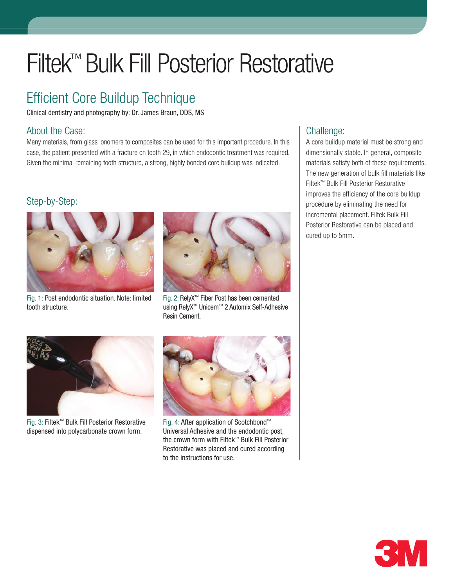# Filtek™ Bulk Fill Posterior Restorative

## Efficient Core Buildup Technique

Clinical dentistry and photography by: Dr. James Braun, DDS, MS

#### About the Case:

Many materials, from glass ionomers to composites can be used for this important procedure. In this case, the patient presented with a fracture on tooth 29, in which endodontic treatment was required. Given the minimal remaining tooth structure, a strong, highly bonded core buildup was indicated.

#### Step-by-Step:



Fig. 1: Post endodontic situation. Note: limited tooth structure.



Fig. 2: RelyX™ Fiber Post has been cemented using RelyX™ Unicem™ 2 Automix Self-Adhesive Resin Cement.



Fig. 3: Filtek™ Bulk Fill Posterior Restorative dispensed into polycarbonate crown form.



Fig. 4: After application of Scotchbond™ Universal Adhesive and the endodontic post, the crown form with Filtek™ Bulk Fill Posterior Restorative was placed and cured according to the instructions for use.

### Challenge:

A core buildup material must be strong and dimensionally stable. In general, composite materials satisfy both of these requirements. The new generation of bulk fill materials like Filtek™ Bulk Fill Posterior Restorative improves the efficiency of the core buildup procedure by eliminating the need for incremental placement. Filtek Bulk Fill Posterior Restorative can be placed and cured up to 5mm.